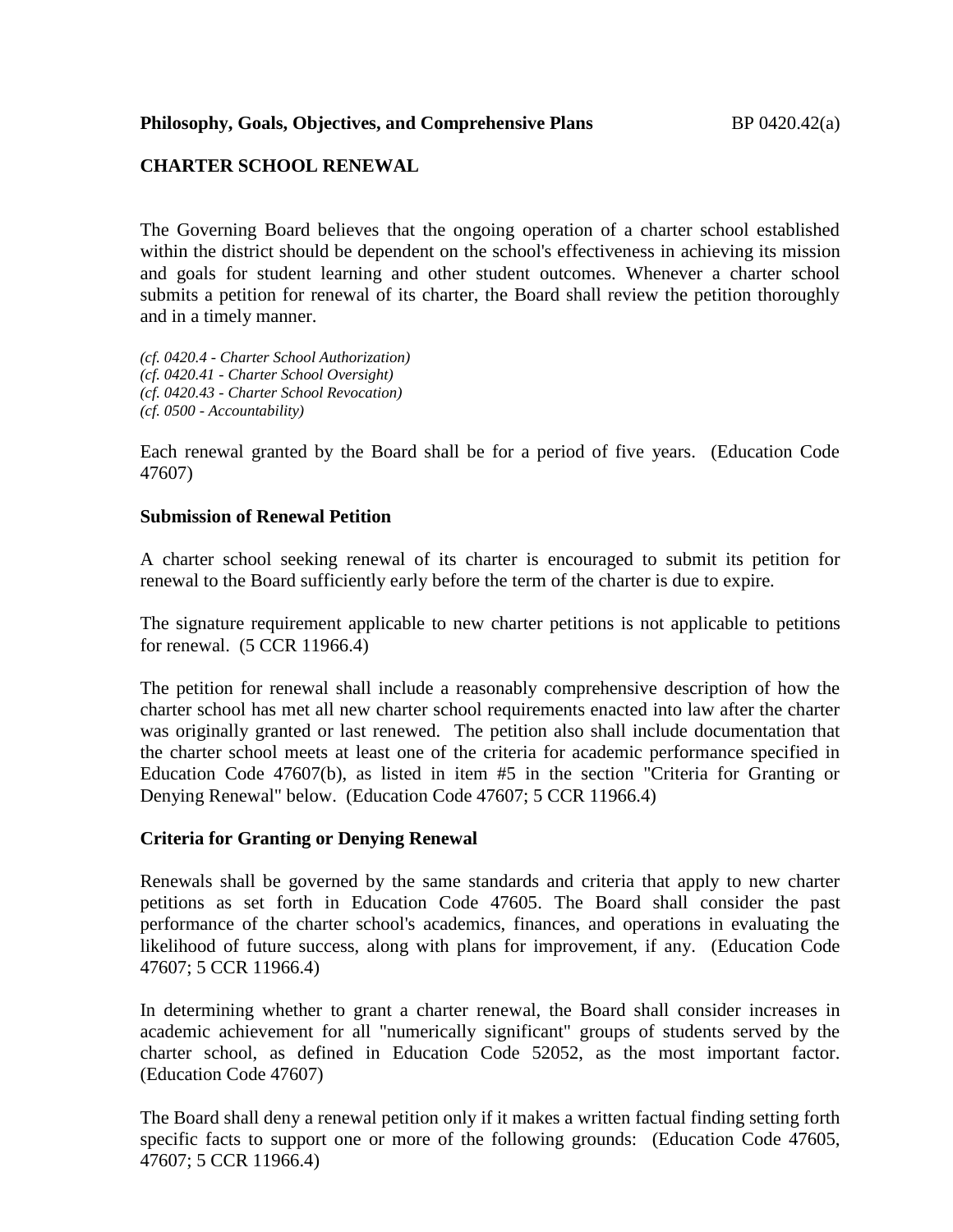# **CHARTER SCHOOL RENEWAL**

The Governing Board believes that the ongoing operation of a charter school established within the district should be dependent on the school's effectiveness in achieving its mission and goals for student learning and other student outcomes. Whenever a charter school submits a petition for renewal of its charter, the Board shall review the petition thoroughly and in a timely manner.

*(cf. 0420.4 - Charter School Authorization) (cf. 0420.41 - Charter School Oversight) (cf. 0420.43 - Charter School Revocation) (cf. 0500 - Accountability)*

Each renewal granted by the Board shall be for a period of five years. (Education Code 47607)

#### **Submission of Renewal Petition**

A charter school seeking renewal of its charter is encouraged to submit its petition for renewal to the Board sufficiently early before the term of the charter is due to expire.

The signature requirement applicable to new charter petitions is not applicable to petitions for renewal. (5 CCR 11966.4)

The petition for renewal shall include a reasonably comprehensive description of how the charter school has met all new charter school requirements enacted into law after the charter was originally granted or last renewed. The petition also shall include documentation that the charter school meets at least one of the criteria for academic performance specified in Education Code 47607(b), as listed in item #5 in the section "Criteria for Granting or Denying Renewal" below. (Education Code 47607; 5 CCR 11966.4)

## **Criteria for Granting or Denying Renewal**

Renewals shall be governed by the same standards and criteria that apply to new charter petitions as set forth in Education Code 47605. The Board shall consider the past performance of the charter school's academics, finances, and operations in evaluating the likelihood of future success, along with plans for improvement, if any. (Education Code 47607; 5 CCR 11966.4)

In determining whether to grant a charter renewal, the Board shall consider increases in academic achievement for all "numerically significant" groups of students served by the charter school, as defined in Education Code 52052, as the most important factor. (Education Code 47607)

The Board shall deny a renewal petition only if it makes a written factual finding setting forth specific facts to support one or more of the following grounds: (Education Code 47605, 47607; 5 CCR 11966.4)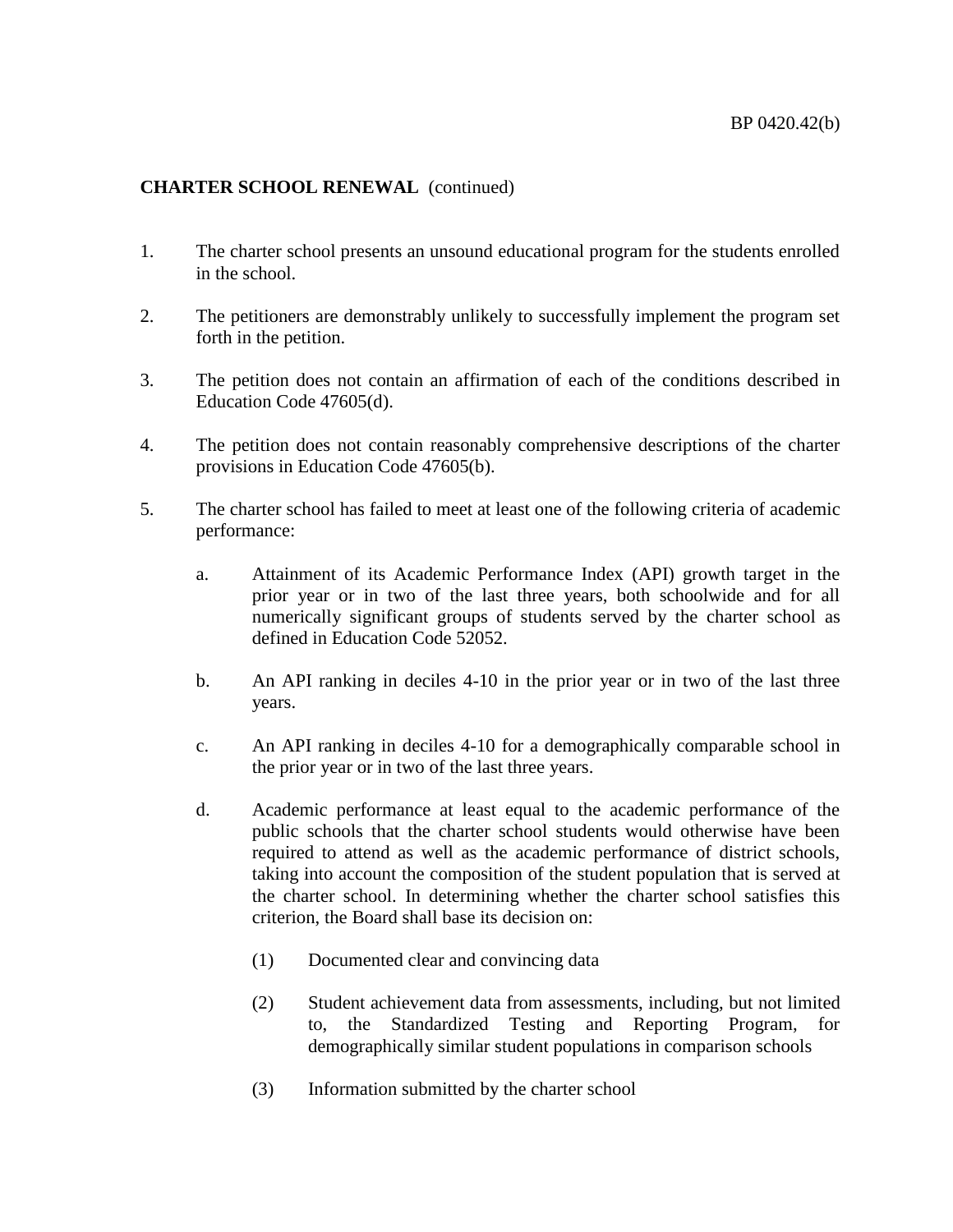## **CHARTER SCHOOL RENEWAL** (continued)

- 1. The charter school presents an unsound educational program for the students enrolled in the school.
- 2. The petitioners are demonstrably unlikely to successfully implement the program set forth in the petition.
- 3. The petition does not contain an affirmation of each of the conditions described in Education Code 47605(d).
- 4. The petition does not contain reasonably comprehensive descriptions of the charter provisions in Education Code 47605(b).
- 5. The charter school has failed to meet at least one of the following criteria of academic performance:
	- a. Attainment of its Academic Performance Index (API) growth target in the prior year or in two of the last three years, both schoolwide and for all numerically significant groups of students served by the charter school as defined in Education Code 52052.
	- b. An API ranking in deciles 4-10 in the prior year or in two of the last three years.
	- c. An API ranking in deciles 4-10 for a demographically comparable school in the prior year or in two of the last three years.
	- d. Academic performance at least equal to the academic performance of the public schools that the charter school students would otherwise have been required to attend as well as the academic performance of district schools, taking into account the composition of the student population that is served at the charter school. In determining whether the charter school satisfies this criterion, the Board shall base its decision on:
		- (1) Documented clear and convincing data
		- (2) Student achievement data from assessments, including, but not limited to, the Standardized Testing and Reporting Program, for demographically similar student populations in comparison schools
		- (3) Information submitted by the charter school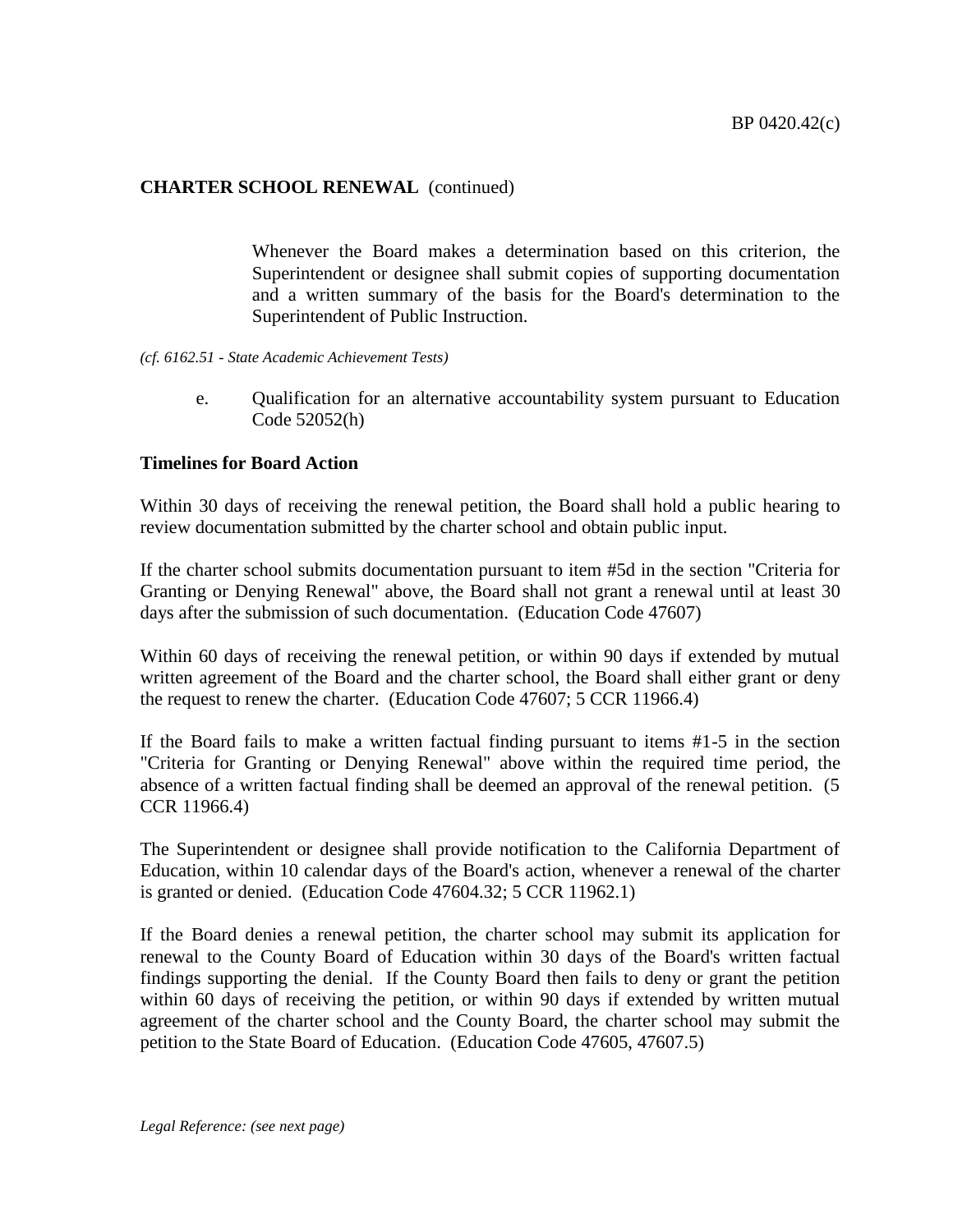### **CHARTER SCHOOL RENEWAL** (continued)

Whenever the Board makes a determination based on this criterion, the Superintendent or designee shall submit copies of supporting documentation and a written summary of the basis for the Board's determination to the Superintendent of Public Instruction.

- *(cf. 6162.51 - State Academic Achievement Tests)*
	- e. Qualification for an alternative accountability system pursuant to Education Code 52052(h)

### **Timelines for Board Action**

Within 30 days of receiving the renewal petition, the Board shall hold a public hearing to review documentation submitted by the charter school and obtain public input.

If the charter school submits documentation pursuant to item #5d in the section "Criteria for Granting or Denying Renewal" above, the Board shall not grant a renewal until at least 30 days after the submission of such documentation. (Education Code 47607)

Within 60 days of receiving the renewal petition, or within 90 days if extended by mutual written agreement of the Board and the charter school, the Board shall either grant or deny the request to renew the charter. (Education Code 47607; 5 CCR 11966.4)

If the Board fails to make a written factual finding pursuant to items #1-5 in the section "Criteria for Granting or Denying Renewal" above within the required time period, the absence of a written factual finding shall be deemed an approval of the renewal petition. (5 CCR 11966.4)

The Superintendent or designee shall provide notification to the California Department of Education, within 10 calendar days of the Board's action, whenever a renewal of the charter is granted or denied. (Education Code 47604.32; 5 CCR 11962.1)

If the Board denies a renewal petition, the charter school may submit its application for renewal to the County Board of Education within 30 days of the Board's written factual findings supporting the denial. If the County Board then fails to deny or grant the petition within 60 days of receiving the petition, or within 90 days if extended by written mutual agreement of the charter school and the County Board, the charter school may submit the petition to the State Board of Education. (Education Code 47605, 47607.5)